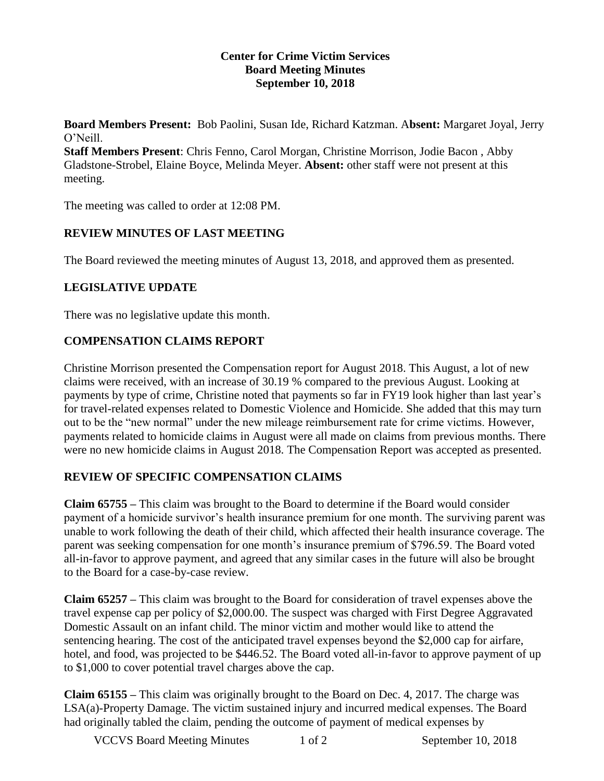#### **Center for Crime Victim Services Board Meeting Minutes September 10, 2018**

**Board Members Present:** Bob Paolini, Susan Ide, Richard Katzman. A**bsent:** Margaret Joyal, Jerry O'Neill.

**Staff Members Present**: Chris Fenno, Carol Morgan, Christine Morrison, Jodie Bacon , Abby Gladstone-Strobel, Elaine Boyce, Melinda Meyer. **Absent:** other staff were not present at this meeting.

The meeting was called to order at 12:08 PM.

#### **REVIEW MINUTES OF LAST MEETING**

The Board reviewed the meeting minutes of August 13, 2018, and approved them as presented.

## **LEGISLATIVE UPDATE**

There was no legislative update this month.

## **COMPENSATION CLAIMS REPORT**

Christine Morrison presented the Compensation report for August 2018. This August, a lot of new claims were received, with an increase of 30.19 % compared to the previous August. Looking at payments by type of crime, Christine noted that payments so far in FY19 look higher than last year's for travel-related expenses related to Domestic Violence and Homicide. She added that this may turn out to be the "new normal" under the new mileage reimbursement rate for crime victims. However, payments related to homicide claims in August were all made on claims from previous months. There were no new homicide claims in August 2018. The Compensation Report was accepted as presented.

#### **REVIEW OF SPECIFIC COMPENSATION CLAIMS**

**Claim 65755 –** This claim was brought to the Board to determine if the Board would consider payment of a homicide survivor's health insurance premium for one month. The surviving parent was unable to work following the death of their child, which affected their health insurance coverage. The parent was seeking compensation for one month's insurance premium of \$796.59. The Board voted all-in-favor to approve payment, and agreed that any similar cases in the future will also be brought to the Board for a case-by-case review.

**Claim 65257 –** This claim was brought to the Board for consideration of travel expenses above the travel expense cap per policy of \$2,000.00. The suspect was charged with First Degree Aggravated Domestic Assault on an infant child. The minor victim and mother would like to attend the sentencing hearing. The cost of the anticipated travel expenses beyond the \$2,000 cap for airfare, hotel, and food, was projected to be \$446.52. The Board voted all-in-favor to approve payment of up to \$1,000 to cover potential travel charges above the cap.

**Claim 65155 –** This claim was originally brought to the Board on Dec. 4, 2017. The charge was LSA(a)-Property Damage. The victim sustained injury and incurred medical expenses. The Board had originally tabled the claim, pending the outcome of payment of medical expenses by

VCCVS Board Meeting Minutes 1 of 2 September 10, 2018